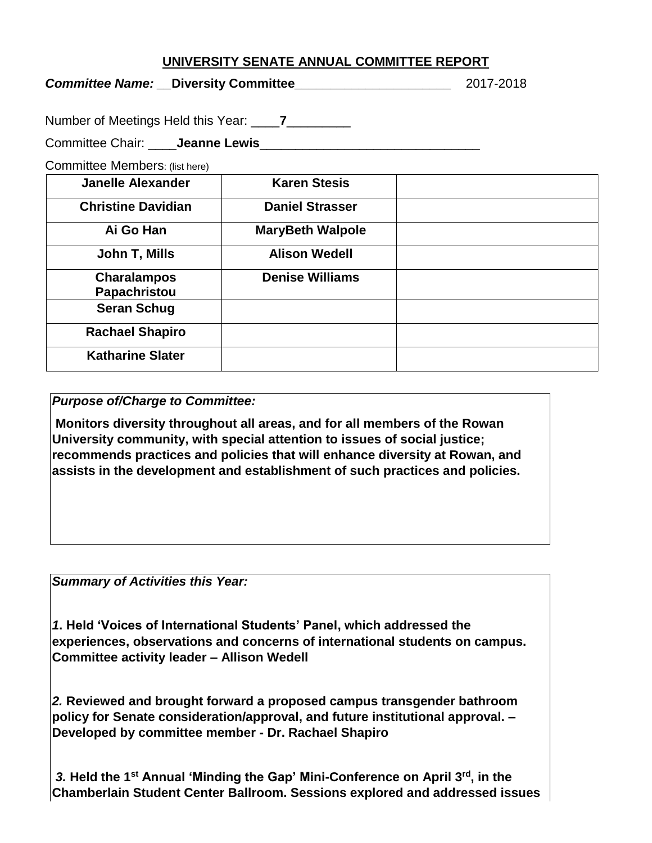## **UNIVERSITY SENATE ANNUAL COMMITTEE REPORT**

*Committee Name: \_\_***Diversity Committee***\_\_\_\_\_\_\_\_\_\_\_\_\_\_\_\_\_\_\_\_\_\_* 2017-2018

Number of Meetings Held this Year: \_\_\_\_**7**\_\_\_\_\_\_\_\_\_

Committee Chair: **Leanne Lewis** 

Committee Members: (list here)

| <b>Janelle Alexander</b>  | <b>Karen Stesis</b>     |  |
|---------------------------|-------------------------|--|
| <b>Christine Davidian</b> | <b>Daniel Strasser</b>  |  |
| Ai Go Han                 | <b>MaryBeth Walpole</b> |  |
| John T, Mills             | <b>Alison Wedell</b>    |  |
| <b>Charalampos</b>        | <b>Denise Williams</b>  |  |
| Papachristou              |                         |  |
| <b>Seran Schug</b>        |                         |  |
| <b>Rachael Shapiro</b>    |                         |  |
| <b>Katharine Slater</b>   |                         |  |

*Purpose of/Charge to Committee:* 

**Monitors diversity throughout all areas, and for all members of the Rowan University community, with special attention to issues of social justice; recommends practices and policies that will enhance diversity at Rowan, and assists in the development and establishment of such practices and policies.**

*Summary of Activities this Year:* 

*1***. Held 'Voices of International Students' Panel, which addressed the experiences, observations and concerns of international students on campus. Committee activity leader – Allison Wedell**

*2.* **Reviewed and brought forward a proposed campus transgender bathroom policy for Senate consideration/approval, and future institutional approval. – Developed by committee member - Dr. Rachael Shapiro**

*3.* **Held the 1st Annual 'Minding the Gap' Mini-Conference on April 3rd, in the Chamberlain Student Center Ballroom. Sessions explored and addressed issues**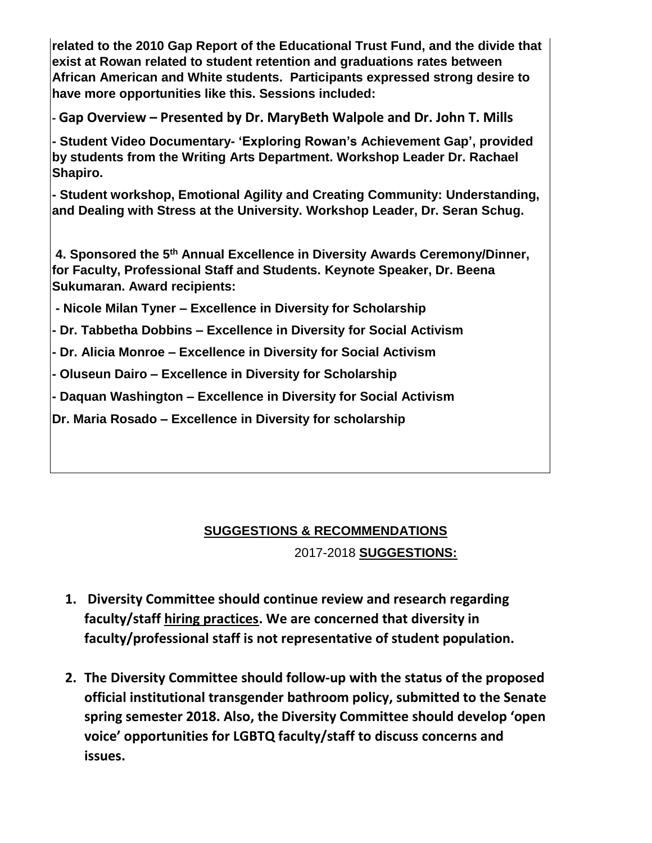**related to the 2010 Gap Report of the Educational Trust Fund, and the divide that exist at Rowan related to student retention and graduations rates between African American and White students. Participants expressed strong desire to have more opportunities like this. Sessions included:**

**- Gap Overview – Presented by Dr. MaryBeth Walpole and Dr. John T. Mills**

**- Student Video Documentary- 'Exploring Rowan's Achievement Gap', provided by students from the Writing Arts Department. Workshop Leader Dr. Rachael Shapiro.**

**- Student workshop, Emotional Agility and Creating Community: Understanding, and Dealing with Stress at the University. Workshop Leader, Dr. Seran Schug.**

**4. Sponsored the 5th Annual Excellence in Diversity Awards Ceremony/Dinner, for Faculty, Professional Staff and Students. Keynote Speaker, Dr. Beena Sukumaran. Award recipients:**

**- Nicole Milan Tyner – Excellence in Diversity for Scholarship**

**- Dr. Tabbetha Dobbins – Excellence in Diversity for Social Activism**

**- Dr. Alicia Monroe – Excellence in Diversity for Social Activism**

**- Oluseun Dairo – Excellence in Diversity for Scholarship** 

**- Daquan Washington – Excellence in Diversity for Social Activism**

**Dr. Maria Rosado – Excellence in Diversity for scholarship**

## **SUGGESTIONS & RECOMMENDATIONS**

2017-2018 **SUGGESTIONS:**

- **1. Diversity Committee should continue review and research regarding faculty/staff hiring practices. We are concerned that diversity in faculty/professional staff is not representative of student population.**
- **2. The Diversity Committee should follow-up with the status of the proposed official institutional transgender bathroom policy, submitted to the Senate spring semester 2018. Also, the Diversity Committee should develop 'open voice' opportunities for LGBTQ faculty/staff to discuss concerns and issues.**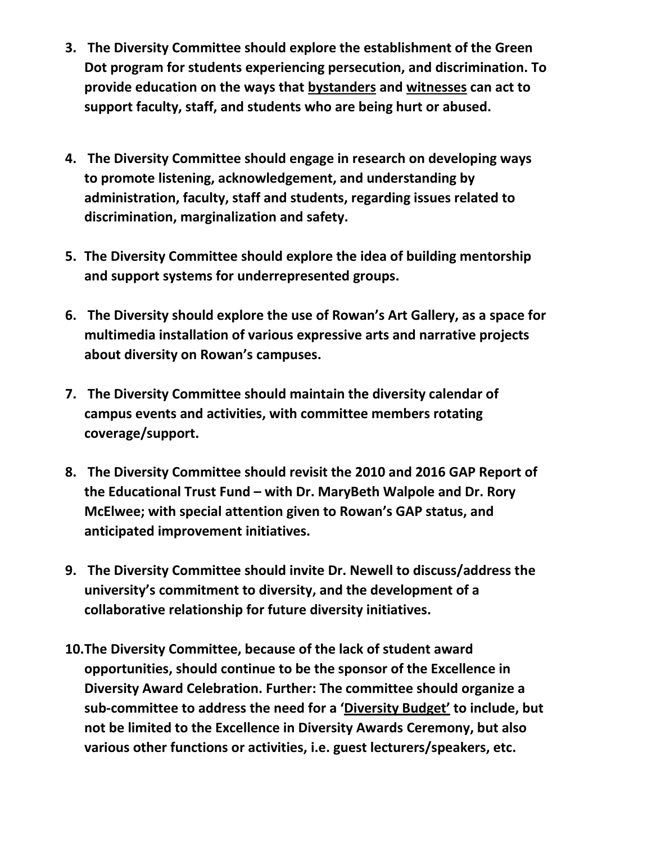- **3. The Diversity Committee should explore the establishment of the Green Dot program for students experiencing persecution, and discrimination. To provide education on the ways that bystanders and witnesses can act to support faculty, staff, and students who are being hurt or abused.**
- **4. The Diversity Committee should engage in research on developing ways to promote listening, acknowledgement, and understanding by administration, faculty, staff and students, regarding issues related to discrimination, marginalization and safety.**
- **5. The Diversity Committee should explore the idea of building mentorship and support systems for underrepresented groups.**
- **6. The Diversity should explore the use of Rowan's Art Gallery, as a space for multimedia installation of various expressive arts and narrative projects about diversity on Rowan's campuses.**
- **7. The Diversity Committee should maintain the diversity calendar of campus events and activities, with committee members rotating coverage/support.**
- **8. The Diversity Committee should revisit the 2010 and 2016 GAP Report of the Educational Trust Fund – with Dr. MaryBeth Walpole and Dr. Rory McElwee; with special attention given to Rowan's GAP status, and anticipated improvement initiatives.**
- **9. The Diversity Committee should invite Dr. Newell to discuss/address the university's commitment to diversity, and the development of a collaborative relationship for future diversity initiatives.**
- **10.The Diversity Committee, because of the lack of student award opportunities, should continue to be the sponsor of the Excellence in Diversity Award Celebration. Further: The committee should organize a sub-committee to address the need for a 'Diversity Budget' to include, but not be limited to the Excellence in Diversity Awards Ceremony, but also various other functions or activities, i.e. guest lecturers/speakers, etc.**